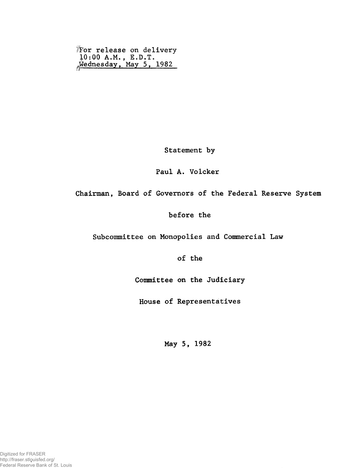I'For release on delivery 10:00 A.M. , E.D.T. Wednesday, May 5, 1982

Statement by

## Paul A. Volcker

Chairman, Board of Governors of the Federal Reserve System

## before the

Subcommittee on Monopolies and Commercial Law

of the

Committee on the Judiciary

House of Representatives

May 5, 1982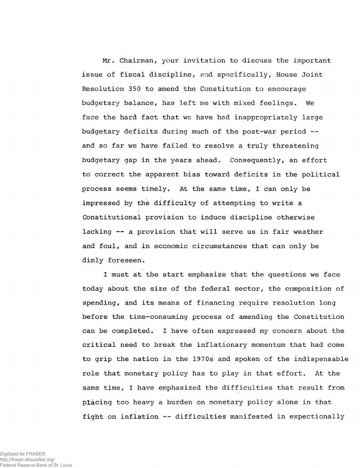Mr. Chairman, your invitation to discuss the important issue of fiscal discipline, and specifically, House Joint Resolution 350 to amend the Constitution to encourage budgetary balance, has left me with mixed feelings. We face the hard fact that we have had inappropriately large budgetary deficits during much of the post-war period and so far we have failed to resolve a truly threatening budgetary gap in the years ahead. Consequently, an effort to correct the apparent bias toward deficits in the political process seems timely. At the same time, I can only be impressed by the difficulty of attempting to write a Constitutional provision to induce discipline otherwise lacking — a provision that will serve us in fair weather and foul, and in economic circumstances that can only be dimly foreseen.

I must at the start emphasize that the questions we face today about the size of the federal sector, the composition of spending, and its means of financing require resolution long before the time-consuming process of amending the Constitution can be completed. I have often expressed my concern about the critical need to break the inflationary momentum that had come to grip the nation in the 1970s and spoken of the indispensable role that monetary policy has to play in that effort. At the same time, I have emphasized the difficulties that result from placing too heavy a burden on monetary policy alone in that fight on inflation — difficulties manifested in expectionally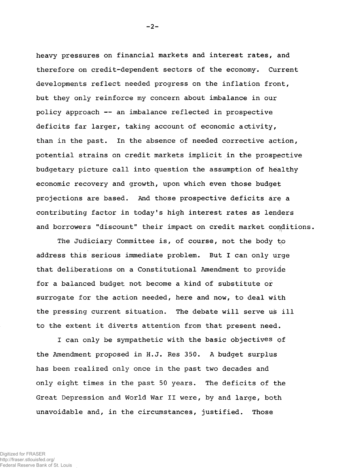heavy pressures on financial markets and interest rates, and therefore on credit-dependent sectors of the economy. Current developments reflect needed progress on the inflation front, but they only reinforce my concern about imbalance in our policy approach — an imbalance reflected in prospective deficits far larger, taking account of economic activity, than in the past. In the absence of needed corrective action, potential strains on credit markets implicit in the prospective budgetary picture call into question the assumption of healthy economic recovery and growth, upon which even those budget projections are based. And those prospective deficits are a contributing factor in today's high interest rates as lenders and borrowers "discount" their impact on credit market conditions,

The Judiciary Committee is, of course, not the body to address this serious immediate problem. But I can only urge that deliberations on a Constitutional Amendment to provide for a balanced budget not become a kind of substitute or surrogate for the action needed, here and now, to deal with the pressing current situation. The debate will serve us ill to the extent it diverts attention from that present need.

I can only be sympathetic with the basic objectives pf the Amendment proposed in H.J. Res 350. A budget surplus has been realized only once in the past two decades and only eight times in the past 50 years. The deficits of the Great Depression and World War II were, by and large, both unavoidable and, in the circumstances, justified. Those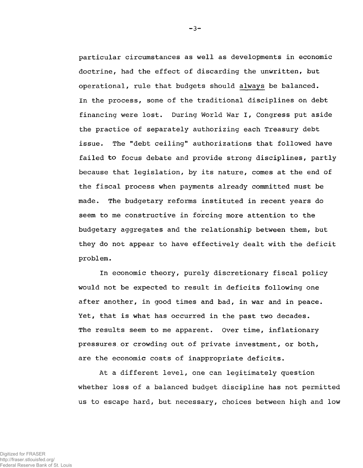particular circumstances as well as developments in economic doctrine, had the effect of discarding the unwritten, but operational, rule that budgets should always be balanced. In the process, some of the traditional disciplines on debt financing were lost. During World War I, Congress put aside the practice of separately authorizing each Treasury debt issue. The "debt ceiling" authorizations that followed have failed to focus debate and provide strong disciplines, partly because that legislation, by its nature, comes at the end of the fiscal process when payments already committed must be made. The budgetary reforms instituted in recent years do seem to me constructive in forcing more attention to the budgetary aggregates and the relationship between them, but they do not appear to have effectively dealt with the deficit problem.

In economic theory, purely discretionary fiscal policy would not be expected to result in deficits following one after another, in good times and bad, in war and in peace. Yet, that is what has occurred in the past two decades. The results seem to me apparent. Over time, inflationary pressures,or crowding out of private investment, or both, are the economic costs of inappropriate deficits.

At a different level, one can legitimately question whether loss of a balanced budget discipline has not permitted us to escape hard, but. necessary, choices between high and low

Digitized for FRASER http://fraser.stlouisfed.org/ Federal Reserve Bank of St. Louis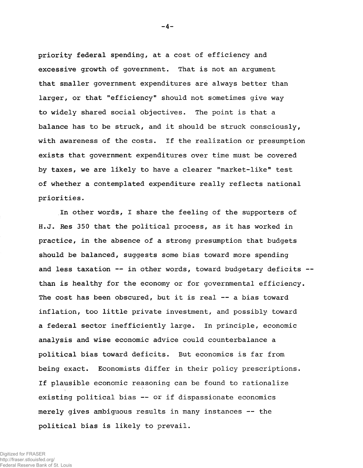priority federal spending, at a cost of efficiency and excessive growth of government. That is not an argument that smaller government expenditures are always better than larger, or that "efficiency" should not sometimes give way to widely shared social objectives. The point is that a balance has to be struck, and it should be struck consciously, with awareness of the costs. If the realization or presumption exists that government expenditures over time must be covered by taxes, we are likely to have a clearer "market-like" test of whether a contemplated expenditure really reflects national priorities.

In other words, I share the feeling of the supporters of H.J. Res 350 that the political process, as it has worked in practice, in the absence of a strong presumption that budgets should be balanced, suggests some bias toward more spending and less taxation  $--$  in other words, toward budgetary deficits  $-$ than is healthy for the economy or for governmental efficiency. The cost has been obscured, but it is real — a bias toward inflation, too little private investment, and possibly toward a federal sector inefficiently large. In principle, economic analysis and wise economic advice could counterbalance a political bias toward deficits. But economics is far from being exact. Economists differ in their policy prescriptions. If plausible economic reasoning can be found to rationalize existing political bias — or if dispassionate economics merely gives ambiguous results in many instances -- the political bias is likely to prevail.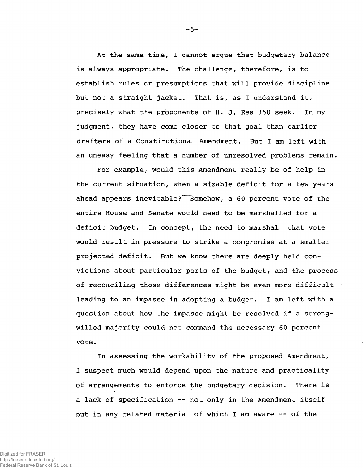At the same time, I cannot argue that budgetary balance is always appropriate. The challenge, therefore, is to establish rules or presumptions that will provide discipline but not a straight jacket. That is, as I understand it, precisely what the proponents of H. J. Res 350 seek. In my judgment, they have come closer to that goal than earlier drafters of a Constitutional Amendment. But I am left with an uneasy feeling that a number of unresolved problems remain.

For example, would this Amendment really be of help in the current situation, when a sizable deficit for a few years ahead appears inevitable? Somehow, a 60 percent vote of the entire House and Senate would need to be marshalled for a deficit budget. In concept, the need to marshal that vote would result in pressure to strike a compromise at a smaller projected deficit. But we know there are deeply held convictions about particular parts of the budget, and the process of reconciling those differences might be even more difficult leading to an impasse in adopting a budget. I am left with a question about how the impasse might be resolved if a strongwilled majority could not command the necessary 60 percent vote.

In assessing the workability of the proposed Amendment, I suspect much would depend upon the nature and practicality of arrangements to enforce the budgetary decision. There is a lack of specification -- not only in the Amendment itself but in any related material of which I am aware — of the

-5-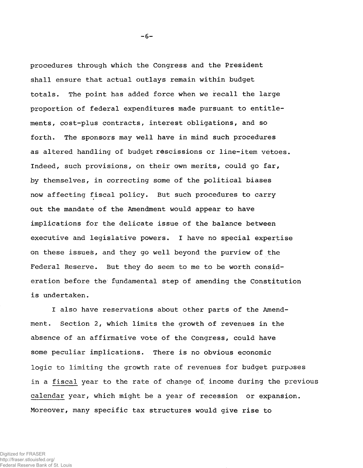procedures through which the Congress and the President shall ensure that actual outlays remain within budget totals. The point has added force when we recall the large proportion of federal expenditures made pursuant to entitlements, cost-plus contracts, interest obligations, and so forth. The sponsors may well have in mind such procedures as altered handling of budget rescissions or line-item vetoes. Indeed, such provisions, on their own merits, could go far, by themselves, in correcting some of the political biases now affecting fiscal policy. But such procedures to carry out the mandate of the Amendment would appear to have implications for the delicate issue of the balance between executive and legislative powers. I have no special expertise on these issues, and they go well beyond the purview of the Federal Reserve. But they do seem to me to be worth consideration before the fundamental step of amending the Constitution is undertaken.

I also have reservations about other parts of the Amendment. Section 2, which limits the growth of revenues in the absence of an affirmative vote of the Congress, could have some peculiar implications. There is no obvious economic logic to limiting the growth rate of revenues for budget purposes in a fiscal year to the rate of change of income during the previous calendar year, which might be a year of recession or expansion. Moreover, many specific tax structures would give rise to

 $-6-$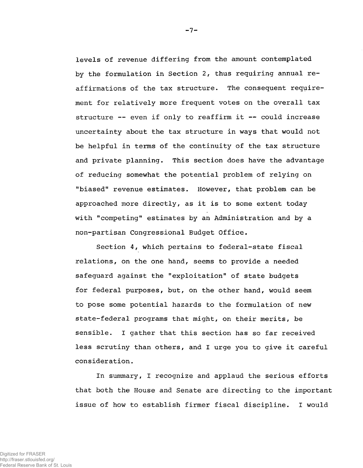levels of revenue differing from the amount contemplated by the formulation in Section 2, thus requiring annual reaffirmations of the tax structure. The consequent requirement for relatively more frequent votes on the overall tax structure -- even if only to reaffirm it -- could increase uncertainty about the tax structure in ways that would not be helpful in terms of the continuity of the tax structure and private planning. This section does have the advantage of reducing somewhat the potential problem of relying on "biased" revenue estimates. However, that problem can be approached more directly, as it is to some extent today with "competing" estimates by an Administration and by a non-partisan Congressional Budget Office.

Section 4, which pertains to federal-state fiscal relations, on the one hand, seems to provide a needed safeguard against the "exploitation" of state budgets for federal purposes, but, on the other hand, would seem to pose some potential hazards to the formulation of new state-federal programs that might, on their merits, be sensible. I gather that this section has so far received less scrutiny than others, and I urge you to give it careful consideration.

In summary, I recognize and applaud the serious efforts that both the House and Senate are directing to the important issue of how to establish firmer fiscal discipline. I would